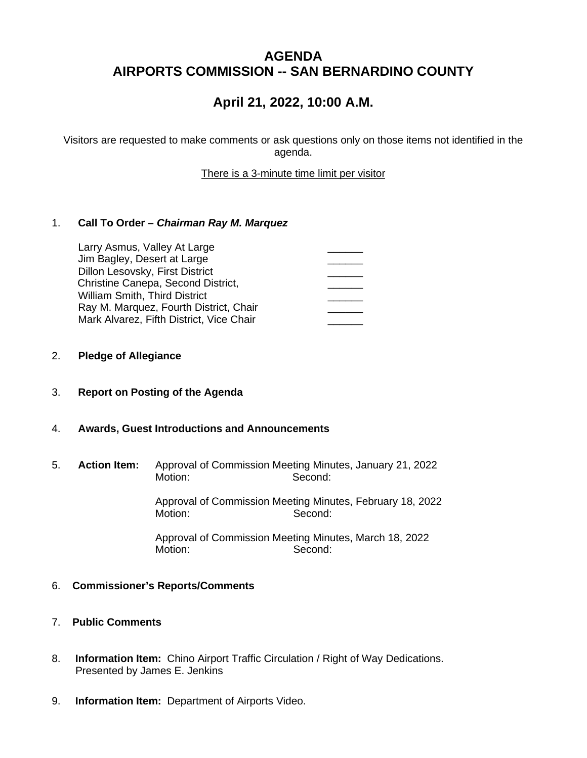## **AGENDA AIRPORTS COMMISSION -- SAN BERNARDINO COUNTY**

# **April 21, 2022, 10:00 A.M.**

Visitors are requested to make comments or ask questions only on those items not identified in the agenda.

There is a 3-minute time limit per visitor

### 1. **Call To Order –** *Chairman Ray M. Marquez*

| Larry Asmus, Valley At Large             |  |
|------------------------------------------|--|
| Jim Bagley, Desert at Large              |  |
| Dillon Lesovsky, First District          |  |
| Christine Canepa, Second District,       |  |
| <b>William Smith, Third District</b>     |  |
| Ray M. Marquez, Fourth District, Chair   |  |
| Mark Alvarez, Fifth District, Vice Chair |  |

#### 2. **Pledge of Allegiance**

- 3. **Report on Posting of the Agenda**
- 4. **Awards, Guest Introductions and Announcements**
- 5. **Action Item:** Approval of Commission Meeting Minutes, January 21, 2022 Motion: Second:

Approval of Commission Meeting Minutes, February 18, 2022 Motion: Second:

Approval of Commission Meeting Minutes, March 18, 2022 Second:

#### 6. **Commissioner's Reports/Comments**

### 7. **Public Comments**

- 8. **Information Item:** Chino Airport Traffic Circulation / Right of Way Dedications. Presented by James E. Jenkins
- 9. **Information Item:** Department of Airports Video.